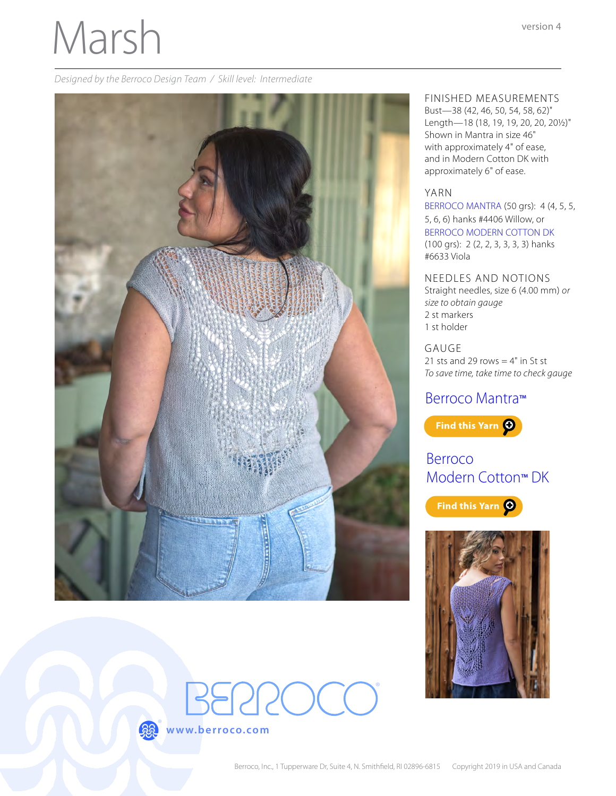# Marsh

*Designed by the Berroco Design Team / Skill level: Intermediate*





## FINISHED MEASUREMENTS

Bust—38 (42, 46, 50, 54, 58, 62)" Length—18 (18, 19, 19, 20, 20, 20½)" Shown in Mantra in size 46" with approximately 4" of ease, and in Modern Cotton DK with approximately 6" of ease.

#### YARN

[BERROCO MANTRA](http://www.berroco.com/yarns/berroco-mantra) (50 grs): 4 (4, 5, 5, 5, 6, 6) hanks #4406 Willow, or [BERROCO MODERN COTTON DK](http://www.berroco.com/yarns/berroco-modern-cotton-dk) (100 grs): 2 (2, 2, 3, 3, 3, 3) hanks #6633 Viola

NEEDLES AND NOTIONS Straight needles, size 6 (4.00 mm) *or size to obtain gauge* 2 st markers 1 st holder

GAUGE 21 sts and 29 rows  $=$  4" in St st *To save time, take time to check gauge*

### [Berroco Mantra](http://www.berroco.com/yarns/berroco-mantra)™



# [Berroco](http://www.berroco.com/yarns/berroco-modern-cotton-dk)  [Modern Cotton](http://www.berroco.com/yarns/berroco-modern-cotton-dk)™ DK

Find this Yarn O

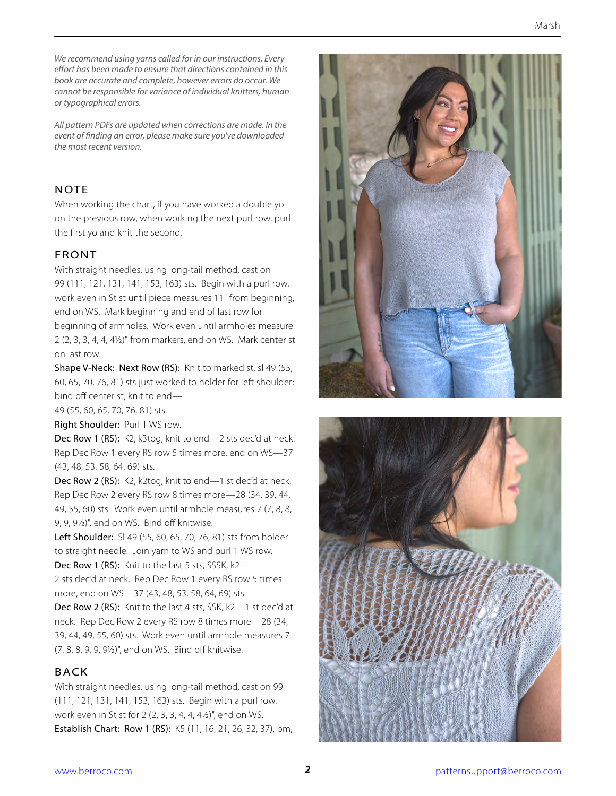*We recommend using yarns called for in our instructions. Every effort has been made to ensure that directions contained in this book are accurate and complete, however errors do occur. We cannot be responsible for variance of individual knitters, human or typographical errors.*

*All pattern PDFs are updated when corrections are made. In the event of finding an error, please make sure you've downloaded the most recent version.*

#### **NOTE**

When working the chart, if you have worked a double yo on the previous row, when working the next purl row, purl the first yo and knit the second.

#### FRONT

With straight needles, using long-tail method, cast on 99 (111, 121, 131, 141, 153, 163) sts. Begin with a purl row, work even in St st until piece measures 11" from beginning, end on WS. Mark beginning and end of last row for beginning of armholes. Work even until armholes measure 2 (2, 3, 3, 4, 4, 4½)" from markers, end on WS. Mark center st on last row.

Shape V-Neck: Next Row (RS): Knit to marked st, sl 49 (55, 60, 65, 70, 76, 81) sts just worked to holder for left shoulder; bind off center st, knit to end—

49 (55, 60, 65, 70, 76, 81) sts.

Right Shoulder: Purl 1 WS row.

Dec Row 1 (RS): K2, k3tog, knit to end—2 sts dec'd at neck. Rep Dec Row 1 every RS row 5 times more, end on WS—37 (43, 48, 53, 58, 64, 69) sts.

Dec Row 2 (RS): K2, k2tog, knit to end—1 st dec'd at neck. Rep Dec Row 2 every RS row 8 times more—28 (34, 39, 44, 49, 55, 60) sts. Work even until armhole measures 7 (7, 8, 8, 9, 9, 9½)", end on WS. Bind off knitwise.

Left Shoulder: Sl 49 (55, 60, 65, 70, 76, 81) sts from holder to straight needle. Join yarn to WS and purl 1 WS row. Dec Row 1 (RS): Knit to the last 5 sts, SSSK, k2-

2 sts dec'd at neck. Rep Dec Row 1 every RS row 5 times more, end on WS—37 (43, 48, 53, 58, 64, 69) sts.

Dec Row 2 (RS): Knit to the last 4 sts, SSK, k2—1 st dec'd at neck. Rep Dec Row 2 every RS row 8 times more—28 (34, 39, 44, 49, 55, 60) sts. Work even until armhole measures 7 (7, 8, 8, 9, 9, 9½)", end on WS. Bind off knitwise.

#### BACK

With straight needles, using long-tail method, cast on 99 (111, 121, 131, 141, 153, 163) sts. Begin with a purl row, work even in St st for 2 (2, 3, 3, 4, 4, 4½)", end on WS. Establish Chart: Row 1 (RS): K5 (11, 16, 21, 26, 32, 37), pm,



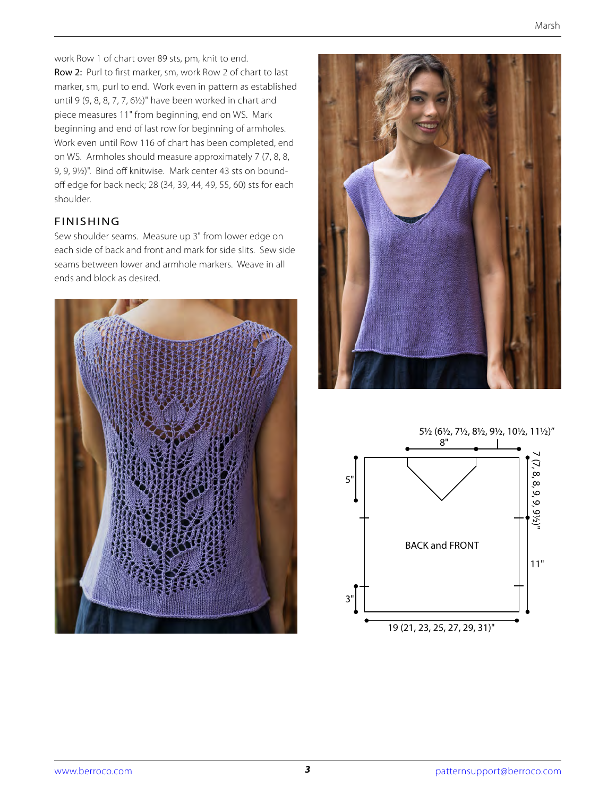work Row 1 of chart over 89 sts, pm, knit to end. Row 2: Purl to first marker, sm, work Row 2 of chart to last marker, sm, purl to end. Work even in pattern as established until 9 (9, 8, 8, 7, 7, 6½)" have been worked in chart and piece measures 11" from beginning, end on WS. Mark beginning and end of last row for beginning of armholes. Work even until Row 116 of chart has been completed, end on WS. Armholes should measure approximately 7 (7, 8, 8, 9, 9, 9½)". Bind off knitwise. Mark center 43 sts on boundoff edge for back neck; 28 (34, 39, 44, 49, 55, 60) sts for each shoulder.

#### FINISHING

Sew shoulder seams. Measure up 3" from lower edge on each side of back and front and mark for side slits. Sew side seams between lower and armhole markers. Weave in all ends and block as desired.





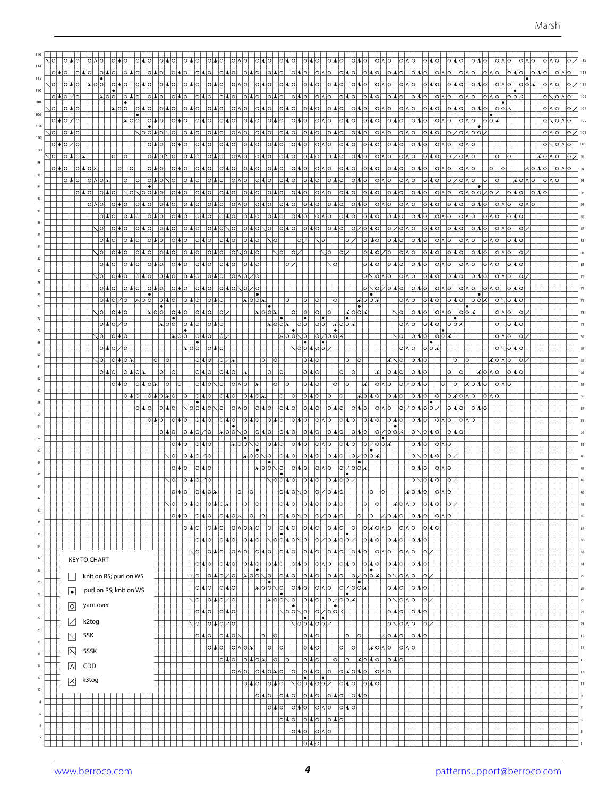| 114            |                                       |                                             |                                                                     |                                                                                                                                      |                                                                                       |                                                                 |                                     |                               |    |
|----------------|---------------------------------------|---------------------------------------------|---------------------------------------------------------------------|--------------------------------------------------------------------------------------------------------------------------------------|---------------------------------------------------------------------------------------|-----------------------------------------------------------------|-------------------------------------|-------------------------------|----|
| 112            | <b>OMO</b>                            |                                             | ioiaioi                                                             | <b>OMO</b><br> O M O                                                                                                                 | IOIMIOI<br> O M O                                                                     | O M O <br> O M O <br><b>TOTATOL</b>                             |                                     |                               |    |
|                | ଧାଠାଠା<br><b>TOIAIO</b>               |                                             | O  M O                                                              | O M O <br>이시아 이시아                                                                                                                    | 이시아 이시아                                                                               | 이시아  이시아                                                        | O M O                               | RIQI IQIAIQ                   |    |
| 110            |                                       |                                             | IOIMIOI<br>101.A101                                                 | <b>OIMOI</b><br> O M O                                                                                                               | $ O M O $ $ O M O $                                                                   | O M O <br> O M O                                                |                                     | 이시이 이이저                       |    |
| 108            |                                       |                                             |                                                                     |                                                                                                                                      |                                                                                       |                                                                 |                                     | $\bullet$                     |    |
| 106            | ∖⊳∣ol                                 |                                             | O M O                                                               | O M O <br> 이시이  이시이                                                                                                                  | 이시아  이시아                                                                              | O M O <br> O M O                                                |                                     | 이시이<br>$ O O \mathcal{A} $    |    |
| 104            |                                       |                                             |                                                                     | O M O <br>10 M O                                                                                                                     | O A O   O A O                                                                         | O M O                                                           |                                     |                               |    |
|                |                                       |                                             | 10 M O                                                              | 1017101<br>0 M O                                                                                                                     | IOIMIOI<br> O M O <br>IOIAIO                                                          | 10 M O                                                          |                                     | 10181012                      |    |
| 102            |                                       |                                             | OIMO<br>IOIAIO.                                                     | IOIMIOI<br>IOIAIO                                                                                                                    | 101.AIOI<br>IOIMIOI                                                                   | 101.AIOI                                                        |                                     |                               |    |
| 100            |                                       |                                             |                                                                     |                                                                                                                                      |                                                                                       |                                                                 |                                     |                               |    |
|                | $\circ$<br>$\circ$                    |                                             | IOIMIO                                                              | O M O <br> O M O                                                                                                                     | 101 A 101<br> O M O                                                                   | 101 A 101<br>10 M O                                             |                                     |                               |    |
|                |                                       |                                             | 10 M O<br>1017101                                                   | 10 M O<br>101.A101                                                                                                                   | 101701<br> O M O                                                                      | 101 M O I<br>10 M O                                             |                                     |                               |    |
|                |                                       |                                             | O M O <br><b>OMO</b>                                                | 10 M O<br>0 M O                                                                                                                      | 101 M OI<br> O M O <br><b>OMO</b>                                                     | <b>IOIMOI</b><br>10 M O                                         | O M O <br>∕ାଠା∆ାଠ                   |                               |    |
|                | 10 M O<br> O M O                      | IOIOIMOI IOIMOI                             | 1018101<br>10 M O I<br>101 M O I                                    | O M O <br>10 M O                                                                                                                     | 10 M O I<br>101 N 101                                                                 | 이시아  이시아<br>∣O∣∧∣O                                              | 101MO1                              | ○ ႔ ○ ○ / ○ /                 |    |
|                |                                       |                                             |                                                                     |                                                                                                                                      |                                                                                       |                                                                 |                                     |                               |    |
|                | 이시이<br><b>OMOI</b><br>IOIAIOI         | O   A<br> O M O                             | O M O <br> O M O                                                    | O M O <br> O M O                                                                                                                     | O M O <br>이시아 이시아                                                                     | 이시아  이시아                                                        | O M O <br><b>TOTATOL</b>            |                               |    |
|                | O M O                                 | O M O <br> O M O                            | O M O <br> O M O <br> O M O                                         | O M O <br> O M O                                                                                                                     | 이시이  이시이                                                                              | O M O <br>  O   A  O   O   A  O                                 | O M O                               |                               |    |
|                | O M O <br><b>IOIAIOI</b>              | 10 M O I<br>101 M 101                       | $ O $ $\Lambda$ $ O $ $\setminus$ $ O $<br>$ O M O \sqrt{ O }$      |                                                                                                                                      | 이시아 이시아 이시아 아시아이                                                                      | │이 ⁄│이 시 이                                                      | O M O <br>10 M O                    | OIMOI                         |    |
|                | O M O <br>IOIAIOI                     | O M O <br> O M O                            | O M O <br> O M O <br>101 M 101                                      | . O <br> O /                                                                                                                         | $\sim$ 0 $\,$<br> O /                                                                 | IOI NOI<br> O M O <br> O M O                                    | O M O <br>IOIAIO                    |                               |    |
|                | 10  <br> O M O <br> O M O             | O M O <br> O M O                            | O M O <br>IOI<br>√ା∧ାଠା                                             | $\mathbb{N}^{\mathsf{o}\mathsf{l}}$<br> 0 /                                                                                          | $\mathbb{N}$ 이<br> 0 /                                                                | o a o / o  o a o                                                | <b>TOIAIOI</b><br><b>TOIATOI</b>    | OIMO<br>OIMO                  |    |
|                |                                       |                                             |                                                                     |                                                                                                                                      |                                                                                       |                                                                 |                                     |                               |    |
|                | 이시이<br>IOIMIOI                        | O M O <br> O M O                            | O M O <br> O M O <br> O M O                                         | ∣0 ∕                                                                                                                                 | $\bigwedge$ o $\big $                                                                 | O M O <br> O M O <br> O M O                                     | O M O <br><b>IOIAIO</b>             | IOI AI                        |    |
|                | O M O <br>1017101                     | ା∧ାଠା<br> O M O                             | O M O <br> O M O / O                                                |                                                                                                                                      |                                                                                       | 0 \0 ^ 0   0 ^ 0                                                | O M O <br> O M O                    | 10 M O                        |    |
|                | 이시이<br> O M O                         | O M O <br> O M O                            | $ O $ $\Lambda$ $ O \searrow  O $ $\angle$ $ O $<br>$ O \Lambda O $ |                                                                                                                                      |                                                                                       | 0 10 0 10 10 10 10                                              | O M O                               | 이시아 이시아                       |    |
|                | 이시아기아<br>$ \lambda $ 이이               | O M O <br> O M O                            | ⊥⊥⊺•⊺<br>$ \lambda $ o $ \circ $ $\lambda$<br> O M O                | 0 <br>10                                                                                                                             | lol                                                                                   | ᄉ│ㅇ│ㅇ│ㅅ│<br> O M O                                              |                                     |                               |    |
|                | O  10  0  0                           | $\bullet$ $\vdash$<br>$\sim$ 00 000 000 000 |                                                                     | $\overline{\mathbb{Q}}$<br> O                                                                                                        | $ 0 $ $ 0 $<br>시이이자                                                                   | $\sim$ 0 $\sim$                                                 | 이시아 이시아 이어서                         | O M O <br>$\circ$             |    |
|                |                                       |                                             |                                                                     | $\begin{array}{c c c c c} \hline \bullet & \bullet & \bullet \\ \hline \bullet \circ \circ \ast & \circ \circ \\ \hline \end{array}$ | $\left  \bullet \right $                                                              |                                                                 | $\bullet$                           |                               |    |
|                | 이시아기아                                 | ା∧∣ାଠା                                      |                                                                     | -   ●                                                                                                                                | ★০০★<br> O O <br>$  \bullet  $ $ $                                                    | O M O                                                           | $ O V O $ $ O O V $<br>۱۰           | O \ O A C                     |    |
|                | 이 이시아                                 |                                             |                                                                     | $ \lambda $ 이이 $ \lambda $ 이<br>$  \bullet  $                                                                                        | $ 0 / 0 0 $ 사<br>⊡•⊥                                                                  | $\sim$<br>TO   A   O                                            | $ O O \lambda$<br>$\bullet$         | O M O<br>-lo                  |    |
|                | ଠ ∧ ଠ  ∕  ଠ                           |                                             | <u>   기이이   이 게이</u>                                                |                                                                                                                                      | O O M O O                                                                             | O M O                                                           | $ O O \lambda$                      | $ O  \setminus  O $ and $ O $ |    |
|                | $ O M O \lambda$<br>.lol              |                                             | $ O / \lambda $<br> O A O                                           | $ O $ $ O $                                                                                                                          | O M O<br>۱o                                                                           | ାଠା∡ା<br> O M O                                                 |                                     | ≮IOI∧IO                       |    |
|                | O M O <br> O \ O }                    | ΙO                                          | O M O <br> O A O                                                    | O <br>$\circ$                                                                                                                        | O M O <br> O                                                                          | ାଠା∧ାଠ<br> O M O                                                |                                     | O  M C                        |    |
|                |                                       |                                             |                                                                     |                                                                                                                                      |                                                                                       |                                                                 |                                     |                               |    |
|                | 이시이                                   |                                             | O M O<br> 0  0  \ 0                                                 |                                                                                                                                      | O <br> O M O <br>lo                                                                   | <b>IOIAIOI</b><br>$ O / O $ $M O$                               |                                     |                               |    |
|                |                                       |                                             | O M O <br>101 A 101                                                 |                                                                                                                                      | O M O <br> O                                                                          | ᄉᆝᇰᆝᄉᆝᆼ                                                         | 101 M O I<br>$ O $ aio              |                               |    |
|                |                                       |                                             | <b>TOIAIO</b>                                                       |                                                                                                                                      | ଠ ∧ ଠ <br><b>TOIAIOI</b><br>IOIAIO                                                    |                                                                 | ⁄IOI∧IOIOI                          |                               |    |
|                |                                       |                                             | O M O                                                               | <b>TOTATO</b>                                                                                                                        | 10 M O                                                                                | O M O <br> O M O                                                | ∣⊙∣∧                                |                               |    |
|                |                                       | OIMO                                        | ⊣∙<br>$ \lambda $ 이이 $ \lambda $ 이                                  | O M O <br><b>OMO</b>                                                                                                                 | 101 A 101<br><b>IOIAIOI</b>                                                           | 1●1<br>$ 0 / 0 0 $ a<br>101 A 101                               | $ O  \setminus  O $ $M O $<br>O M O |                               |    |
|                |                                       |                                             | l o                                                                 |                                                                                                                                      |                                                                                       | $\bullet$<br>10171014                                           |                                     |                               |    |
|                |                                       | OIMO                                        | ΙOΙ                                                                 | O \ O                                                                                                                                | 10 M 10                                                                               |                                                                 |                                     |                               |    |
|                |                                       |                                             |                                                                     | lo.<br>0 M O                                                                                                                         |                                                                                       |                                                                 |                                     |                               |    |
|                |                                       | OIMO                                        | O A O                                                               |                                                                                                                                      |                                                                                       |                                                                 |                                     |                               |    |
|                |                                       | ○ ∧ ○ / ○                                   |                                                                     |                                                                                                                                      | O M O<br>0 100                                                                        |                                                                 |                                     |                               |    |
|                |                                       |                                             | ∣ଠା∆∣ଠା≽                                                            | OIMON                                                                                                                                |                                                                                       |                                                                 |                                     |                               |    |
|                |                                       | lol<br> O  M   O                            | 0 <br>$\circ$                                                       | O M O                                                                                                                                | ○ ∧ ○                                                                                 | $\circ$<br>$\circ$                                              |                                     |                               |    |
| 40             |                                       |                                             | $ O M O \lambda$                                                    |                                                                                                                                      | O M O                                                                                 | ା∧∣ଠା⊼                                                          | ∣ା∆∣ା<br> 0                         |                               |    |
| 38             |                                       | O A O   O A O                               | O V O V <br> O                                                      | O <br>$ O $ $\Lambda$ $ O $                                                                                                          | 이기이시아                                                                                 | o   o <br>ᄉᅌᄉ                                                   | $ O M O $ $ O M O $                 |                               | 39 |
| 36             |                                       | 이시아                                         | O M O <br>$ O M O \lambda O $                                       | 0 YO 0 YO<br> 0 <br>$ \bullet $                                                                                                      | O M O <br> 0 <br>l.                                                                   | OKO ONOXO                                                       | O M O                               |                               | 37 |
|                |                                       |                                             | ା∧ାଠା<br> O M O <br> O M O                                          |                                                                                                                                      | \ ㅇ ㅇ ㅆ ㅇ \ ㅇ   ㅇ / ㅇ ㅆ ㅇ ㅇ /                                                         | $ O M O $ $ O M O $<br> O M O                                   |                                     |                               | 35 |
| 34             |                                       | N01                                         | O M O <br> O M O                                                    | O M O <br>OMO OMO                                                                                                                    |                                                                                       | <b>OMO OWO</b>                                                  | 0 /                                 |                               | 33 |
| 32             | <b>KEY TO CHART</b>                   |                                             | OMO OMO<br> ○ ∧ ○                                                   | 이시아 이시아                                                                                                                              | ○ ∧ ○ <br> O M O                                                                      | $ 0 \Lambda 0 $<br> O M O <br> O M O                            |                                     |                               | 31 |
| 30             |                                       |                                             | I۰                                                                  |                                                                                                                                      |                                                                                       | $ \bullet $                                                     |                                     |                               |    |
| $28\,$         | knit on RS; purl on WS                | 10 I                                        | $ 0 $ alol $ 0 $ alol $ 0 $                                         | $ O $ $M$ $ O $ $ O $ $M$ $ O $<br>$ \bullet $                                                                                       | 이시아 이기이어서                                                                             | $ 0\rangle$ $ 0\rangle$ $ 0\rangle$<br>$\left  \bullet \right $ | 0 /                                 |                               | 29 |
| $26\,$         | purl on RS; knit on WS<br>$ \bullet $ |                                             | 이시아 이시아                                                             | ∣∙∣                                                                                                                                  | $\sim$ 100 $\sim$ 10 $\sim$ 100 $\sim$ 100 $\sim$ 1000 $\sim$<br>⊣∙⊦                  | 이시아 이시아                                                         |                                     |                               | 27 |
|                |                                       |                                             | 시이  이씨이기이                                                           |                                                                                                                                      | $\sim$  0 $\sim$  0 $\sim$  0 $\sim$  0 $\sim$  0 $\sim$  0                           | $\circ$ $\circ$ $\circ$ $\circ$ $\circ$ $\circ$ $\circ$         |                                     |                               | 25 |
| 24             | yarn over<br>$\boxed{\circ}$          |                                             | $ O M O $ $ O M O $                                                 | $ \bullet $                                                                                                                          | $\vert \vert \bullet \vert$                                                           | $\circ \sim \circ \sim$                                         |                                     |                               | 23 |
|                | $\vert\angle\vert$<br>k2tog           |                                             | 시아  아시아기아                                                           | $ \bullet $                                                                                                                          | - -<br>∠∣⊙∣⊙∣∧∣⊙∣⊘                                                                    | $O[\triangle] \cup O[\triangle]$                                | O /                                 |                               | 21 |
|                |                                       |                                             |                                                                     |                                                                                                                                      |                                                                                       |                                                                 |                                     |                               |    |
| 18             | SSK<br>$\boxed{\sum}$                 |                                             | 이시아 이시아                                                             | o <br> 0                                                                                                                             | O M O <br> o                                                                          | 시아시아 이사야<br>ΙO                                                  |                                     |                               | 19 |
| 16             | $\boxed{\lambda}$<br>SSSK             |                                             | 이시이<br>$ O M O \lambda$                                             | $ \circ $<br> 0                                                                                                                      | <u>이시아</u><br>$ \circ $<br>$ 0\rangle$                                                | 시이시이<br> O M O                                                  |                                     |                               | 17 |
|                | $\boxed{\mathbb{A}}$<br>CDD           |                                             | $\circ$ $\wedge$ $\circ$<br>$ 0 \mathbb{A} 0 \mathbb{A} $           | 0 <br> 0                                                                                                                             | O M O <br>$\circ$ $\circ$                                                             | ∣∞∣∧∣⊙∣<br> O M O                                               |                                     |                               | 15 |
|                |                                       |                                             | O M O                                                               | $ 0 $ a $ 0 $ a<br> 0                                                                                                                | ାଧା⊙ା<br>$ 0  \vee  0  \vee  0 $<br> 0                                                | $\circ$ $\wedge$ $\circ$                                        |                                     |                               | 13 |
| 12             | k3tog<br>$\vert\pi\vert$              |                                             | 이시아                                                                 | $\bullet$<br> O M O                                                                                                                  | ● <br>$\big \bigvee\bigcirc\bigcirc\bigwedge\bigcirc\bigcirc\big \bigwedge$<br> O M O | O M O                                                           |                                     |                               | 11 |
| 10             |                                       |                                             |                                                                     | O M O <br> O M O                                                                                                                     | $ O M O $ $ O M O $<br> O M O                                                         |                                                                 |                                     |                               |    |
| 8              |                                       |                                             |                                                                     |                                                                                                                                      |                                                                                       |                                                                 |                                     |                               |    |
|                |                                       |                                             |                                                                     | $ 0 \mathbb{A} 0 $                                                                                                                   | O M O                                                                                 |                                                                 |                                     |                               |    |
|                |                                       |                                             |                                                                     | 이시아                                                                                                                                  | $ 0 \mathsf{M} 0 $ $ 0 \mathsf{M} 0 $                                                 |                                                                 |                                     |                               |    |
|                |                                       |                                             |                                                                     |                                                                                                                                      | <u> ○ ∧ ○   ○ ∧ ○ </u>                                                                |                                                                 |                                     |                               |    |
| $\overline{2}$ |                                       |                                             |                                                                     |                                                                                                                                      | O M O                                                                                 |                                                                 |                                     |                               |    |